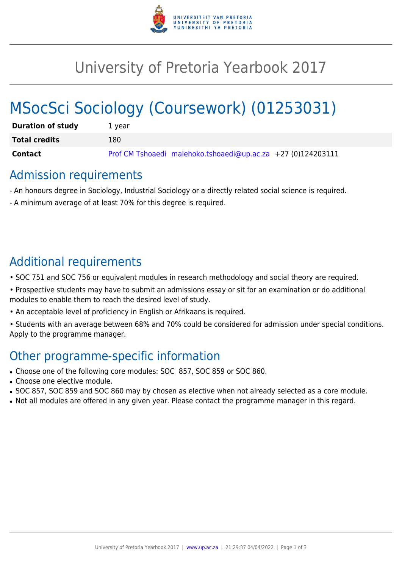

## University of Pretoria Yearbook 2017

# MSocSci Sociology (Coursework) (01253031)

| <b>Duration of study</b> | 1 vear                                                       |
|--------------------------|--------------------------------------------------------------|
| <b>Total credits</b>     | 180                                                          |
| Contact                  | Prof CM Tshoaedi malehoko.tshoaedi@up.ac.za +27 (0)124203111 |

#### Admission requirements

- An honours degree in Sociology, Industrial Sociology or a directly related social science is required.
- A minimum average of at least 70% for this degree is required.

## Additional requirements

- SOC 751 and SOC 756 or equivalent modules in research methodology and social theory are required.
- Prospective students may have to submit an admissions essay or sit for an examination or do additional modules to enable them to reach the desired level of study.
- An acceptable level of proficiency in English or Afrikaans is required.
- Students with an average between 68% and 70% could be considered for admission under special conditions. Apply to the programme manager.

## Other programme-specific information

- Choose one of the following core modules: SOC 857, SOC 859 or SOC 860.
- Choose one elective module.
- SOC 857, SOC 859 and SOC 860 may by chosen as elective when not already selected as a core module.
- Not all modules are offered in any given year. Please contact the programme manager in this regard.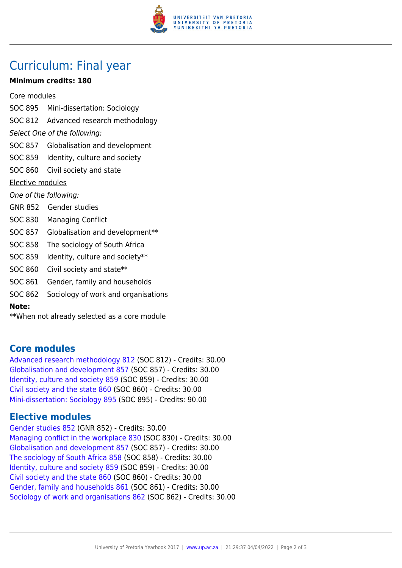

## Curriculum: Final year

#### **Minimum credits: 180**

Core modules

- SOC 895 Mini-dissertation: Sociology SOC 812 Advanced research methodology Select One of the following: SOC 857 Globalisation and development SOC 859 Identity, culture and society SOC 860 Civil society and state Elective modules One of the following: GNR 852 Gender studies SOC 830 Managing Conflict SOC 857 Globalisation and development\*\* SOC 858 The sociology of South Africa SOC 859 Identity, culture and society\*\* SOC 860 Civil society and state\*\* SOC 861 Gender, family and households
- SOC 862 Sociology of work and organisations

**Note:**

\*\*When not already selected as a core module

#### **Core modules**

[Advanced research methodology 812](https://www.up.ac.za/yearbooks/2017/modules/view/SOC 812) (SOC 812) - Credits: 30.00 [Globalisation and development 857](https://www.up.ac.za/yearbooks/2017/modules/view/SOC 857) (SOC 857) - Credits: 30.00 [Identity, culture and society 859](https://www.up.ac.za/yearbooks/2017/modules/view/SOC 859) (SOC 859) - Credits: 30.00 [Civil society and the state 860](https://www.up.ac.za/yearbooks/2017/modules/view/SOC 860) (SOC 860) - Credits: 30.00 [Mini-dissertation: Sociology 895](https://www.up.ac.za/yearbooks/2017/modules/view/SOC 895) (SOC 895) - Credits: 90.00

#### **Elective modules**

[Gender studies 852](https://www.up.ac.za/yearbooks/2017/modules/view/GNR 852) (GNR 852) - Credits: 30.00 [Managing conflict in the workplace 830](https://www.up.ac.za/yearbooks/2017/modules/view/SOC 830) (SOC 830) - Credits: 30.00 [Globalisation and development 857](https://www.up.ac.za/yearbooks/2017/modules/view/SOC 857) (SOC 857) - Credits: 30.00 [The sociology of South Africa 858](https://www.up.ac.za/yearbooks/2017/modules/view/SOC 858) (SOC 858) - Credits: 30.00 [Identity, culture and society 859](https://www.up.ac.za/yearbooks/2017/modules/view/SOC 859) (SOC 859) - Credits: 30.00 [Civil society and the state 860](https://www.up.ac.za/yearbooks/2017/modules/view/SOC 860) (SOC 860) - Credits: 30.00 [Gender, family and households 861](https://www.up.ac.za/yearbooks/2017/modules/view/SOC 861) (SOC 861) - Credits: 30.00 [Sociology of work and organisations 862](https://www.up.ac.za/yearbooks/2017/modules/view/SOC 862) (SOC 862) - Credits: 30.00